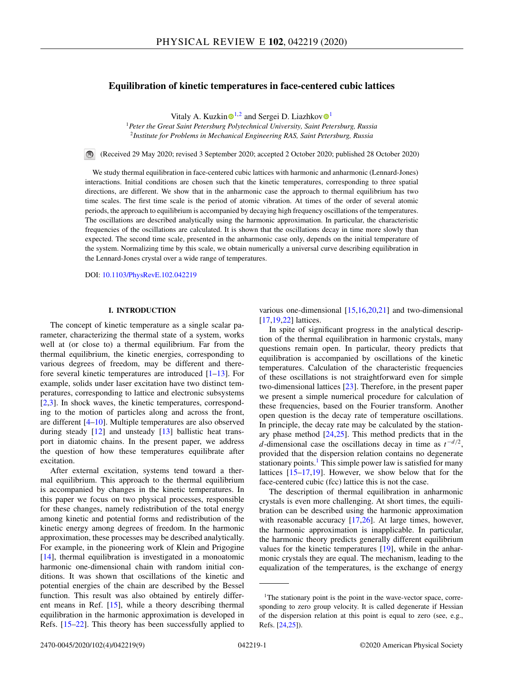# **Equilibration of kinetic temperatures in face-centered cubic lattices**

Vitaly A. Kuzki[n](https://orcid.org/0000-0003-0484-0106)  $\mathbb{D}^{1,2}$  $\mathbb{D}^{1,2}$  $\mathbb{D}^{1,2}$  and Sergei D. Liazhkov  $\mathbb{D}^1$ 

<sup>1</sup>*Peter the Great Saint Petersburg Polytechnical University, Saint Petersburg, Russia* <sup>2</sup>*Institute for Problems in Mechanical Engineering RAS, Saint Petersburg, Russia*

 $\blacksquare$ (Received 29 May 2020; revised 3 September 2020; accepted 2 October 2020; published 28 October 2020)

We study thermal equilibration in face-centered cubic lattices with harmonic and anharmonic (Lennard-Jones) interactions. Initial conditions are chosen such that the kinetic temperatures, corresponding to three spatial directions, are different. We show that in the anharmonic case the approach to thermal equilibrium has two time scales. The first time scale is the period of atomic vibration. At times of the order of several atomic periods, the approach to equilibrium is accompanied by decaying high frequency oscillations of the temperatures. The oscillations are described analytically using the harmonic approximation. In particular, the characteristic frequencies of the oscillations are calculated. It is shown that the oscillations decay in time more slowly than expected. The second time scale, presented in the anharmonic case only, depends on the initial temperature of the system. Normalizing time by this scale, we obtain numerically a universal curve describing equilibration in the Lennard-Jones crystal over a wide range of temperatures.

DOI: [10.1103/PhysRevE.102.042219](https://doi.org/10.1103/PhysRevE.102.042219)

### **I. INTRODUCTION**

The concept of kinetic temperature as a single scalar parameter, characterizing the thermal state of a system, works well at (or close to) a thermal equilibrium. Far from the thermal equilibrium, the kinetic energies, corresponding to various degrees of freedom, may be different and therefore several kinetic temperatures are introduced [\[1–13\]](#page-7-0). For example, solids under laser excitation have two distinct temperatures, corresponding to lattice and electronic subsystems [\[2,3\]](#page-7-0). In shock waves, the kinetic temperatures, corresponding to the motion of particles along and across the front, are different [\[4–10\]](#page-7-0). Multiple temperatures are also observed during steady [\[12\]](#page-7-0) and unsteady [\[13\]](#page-7-0) ballistic heat transport in diatomic chains. In the present paper, we address the question of how these temperatures equilibrate after excitation.

After external excitation, systems tend toward a thermal equilibrium. This approach to the thermal equilibrium is accompanied by changes in the kinetic temperatures. In this paper we focus on two physical processes, responsible for these changes, namely redistribution of the total energy among kinetic and potential forms and redistribution of the kinetic energy among degrees of freedom. In the harmonic approximation, these processes may be described analytically. For example, in the pioneering work of Klein and Prigogine [\[14\]](#page-7-0), thermal equilibration is investigated in a monoatomic harmonic one-dimensional chain with random initial conditions. It was shown that oscillations of the kinetic and potential energies of the chain are described by the Bessel function. This result was also obtained by entirely different means in Ref. [\[15\]](#page-7-0), while a theory describing thermal equilibration in the harmonic approximation is developed in Refs. [\[15–22\]](#page-7-0). This theory has been successfully applied to

various one-dimensional [\[15,16,20,21\]](#page-7-0) and two-dimensional [\[17,19,22\]](#page-7-0) lattices.

In spite of significant progress in the analytical description of the thermal equilibration in harmonic crystals, many questions remain open. In particular, theory predicts that equilibration is accompanied by oscillations of the kinetic temperatures. Calculation of the characteristic frequencies of these oscillations is not straightforward even for simple two-dimensional lattices [\[23\]](#page-7-0). Therefore, in the present paper we present a simple numerical procedure for calculation of these frequencies, based on the Fourier transform. Another open question is the decay rate of temperature oscillations. In principle, the decay rate may be calculated by the stationary phase method  $[24,25]$  $[24,25]$ . This method predicts that in the *d*-dimensional case the oscillations decay in time as *t*−*d*/2, provided that the dispersion relation contains no degenerate stationary points.<sup>1</sup> This simple power law is satisfied for many lattices [\[15–17,19\]](#page-7-0). However, we show below that for the face-centered cubic (fcc) lattice this is not the case.

The description of thermal equilibration in anharmonic crystals is even more challenging. At short times, the equilibration can be described using the harmonic approximation with reasonable accuracy [\[17](#page-7-0)[,26\]](#page-8-0). At large times, however, the harmonic approximation is inapplicable. In particular, the harmonic theory predicts generally different equilibrium values for the kinetic temperatures [\[19\]](#page-7-0), while in the anharmonic crystals they are equal. The mechanism, leading to the equalization of the temperatures, is the exchange of energy

<sup>&</sup>lt;sup>1</sup>The stationary point is the point in the wave-vector space, corresponding to zero group velocity. It is called degenerate if Hessian of the dispersion relation at this point is equal to zero (see, e.g., Refs. [\[24,](#page-7-0)[25\]](#page-8-0)).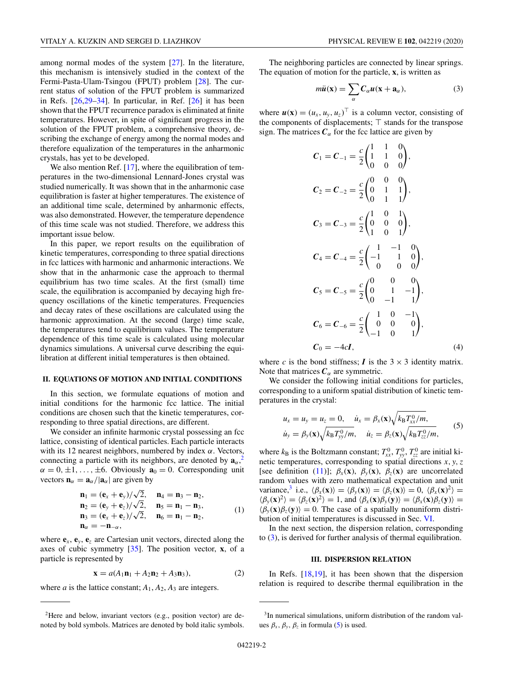<span id="page-1-0"></span>among normal modes of the system [\[27\]](#page-8-0). In the literature, this mechanism is intensively studied in the context of the Fermi-Pasta-Ulam-Tsingou (FPUT) problem [\[28\]](#page-8-0). The current status of solution of the FPUT problem is summarized in Refs. [\[26,29–34\]](#page-8-0). In particular, in Ref. [\[26\]](#page-8-0) it has been shown that the FPUT recurrence paradox is eliminated at finite temperatures. However, in spite of significant progress in the solution of the FPUT problem, a comprehensive theory, describing the exchange of energy among the normal modes and therefore equalization of the temperatures in the anharmonic crystals, has yet to be developed.

We also mention Ref. [\[17\]](#page-7-0), where the equilibration of temperatures in the two-dimensional Lennard-Jones crystal was studied numerically. It was shown that in the anharmonic case equilibration is faster at higher temperatures. The existence of an additional time scale, determined by anharmonic effects, was also demonstrated. However, the temperature dependence of this time scale was not studied. Therefore, we address this important issue below.

In this paper, we report results on the equilibration of kinetic temperatures, corresponding to three spatial directions in fcc lattices with harmonic and anharmonic interactions. We show that in the anharmonic case the approach to thermal equilibrium has two time scales. At the first (small) time scale, the equilibration is accompanied by decaying high frequency oscillations of the kinetic temperatures. Frequencies and decay rates of these oscillations are calculated using the harmonic approximation. At the second (large) time scale, the temperatures tend to equilibrium values. The temperature dependence of this time scale is calculated using molecular dynamics simulations. A universal curve describing the equilibration at different initial temperatures is then obtained.

### **II. EQUATIONS OF MOTION AND INITIAL CONDITIONS**

In this section, we formulate equations of motion and initial conditions for the harmonic fcc lattice. The initial conditions are chosen such that the kinetic temperatures, corresponding to three spatial directions, are different.

We consider an infinite harmonic crystal possessing an fcc lattice, consisting of identical particles. Each particle interacts with its 12 nearest neighbors, numbered by index  $\alpha$ . Vectors, connecting a particle with its neighbors, are denoted by  $\mathbf{a}_{\alpha}$ <sup>2</sup>,  $\alpha = 0, \pm 1, \ldots, \pm 6$ . Obviously  $\mathbf{a}_0 = 0$ . Corresponding unit vectors  $\mathbf{n}_{\alpha} = \mathbf{a}_{\alpha}/|\mathbf{a}_{\alpha}|$  are given by

$$
\begin{array}{ll}\n\mathbf{n}_1 = (\mathbf{e}_x + \mathbf{e}_y)/\sqrt{2}, & \mathbf{n}_4 = \mathbf{n}_3 - \mathbf{n}_2, \\
\mathbf{n}_2 = (\mathbf{e}_y + \mathbf{e}_z)/\sqrt{2}, & \mathbf{n}_5 = \mathbf{n}_1 - \mathbf{n}_3, \\
\mathbf{n}_3 = (\mathbf{e}_x + \mathbf{e}_z)/\sqrt{2}, & \mathbf{n}_6 = \mathbf{n}_1 - \mathbf{n}_2, \\
\mathbf{n}_\alpha = -\mathbf{n}_{-\alpha}, & \n\end{array} \tag{1}
$$

where  $\mathbf{e}_x$ ,  $\mathbf{e}_y$ ,  $\mathbf{e}_z$  are Cartesian unit vectors, directed along the axes of cubic symmetry [\[35\]](#page-8-0). The position vector, **x**, of a particle is represented by

$$
\mathbf{x} = a(A_1 \mathbf{n}_1 + A_2 \mathbf{n}_2 + A_3 \mathbf{n}_3),\tag{2}
$$

where *a* is the lattice constant;  $A_1$ ,  $A_2$ ,  $A_3$  are integers.

The neighboring particles are connected by linear springs. The equation of motion for the particle, **x**, is written as

$$
m\ddot{u}(\mathbf{x}) = \sum_{\alpha} C_{\alpha} u(\mathbf{x} + \mathbf{a}_{\alpha}), \tag{3}
$$

where  $u(\mathbf{x}) = (u_x, u_y, u_z)^\top$  is a column vector, consisting of the components of displacements;  $\top$  stands for the transpose sign. The matrices  $C_\alpha$  for the fcc lattice are given by

$$
C_1 = C_{-1} = \frac{c}{2} \begin{pmatrix} 1 & 1 & 0 \\ 1 & 1 & 0 \\ 0 & 0 & 0 \end{pmatrix},
$$
  
\n
$$
C_2 = C_{-2} = \frac{c}{2} \begin{pmatrix} 0 & 0 & 0 \\ 0 & 1 & 1 \\ 0 & 1 & 1 \end{pmatrix},
$$
  
\n
$$
C_3 = C_{-3} = \frac{c}{2} \begin{pmatrix} 1 & 0 & 1 \\ 0 & 0 & 0 \\ 1 & 0 & 1 \end{pmatrix},
$$
  
\n
$$
C_4 = C_{-4} = \frac{c}{2} \begin{pmatrix} 1 & -1 & 0 \\ -1 & 1 & 0 \\ 0 & 0 & 0 \end{pmatrix},
$$
  
\n
$$
C_5 = C_{-5} = \frac{c}{2} \begin{pmatrix} 0 & 0 & 0 \\ 0 & 1 & -1 \\ 0 & -1 & 1 \end{pmatrix},
$$
  
\n
$$
C_6 = C_{-6} = \frac{c}{2} \begin{pmatrix} 1 & 0 & -1 \\ 0 & 0 & 0 \\ -1 & 0 & 1 \end{pmatrix},
$$
  
\n
$$
C_0 = -4cI,
$$
  
\n(4)

where *c* is the bond stiffness; *I* is the  $3 \times 3$  identity matrix. Note that matrices  $C_{\alpha}$  are symmetric.

We consider the following initial conditions for particles, corresponding to a uniform spatial distribution of kinetic temperatures in the crystal:

$$
u_x = u_y = u_z = 0, \quad \dot{u}_x = \beta_x(\mathbf{x}) \sqrt{k_B T_{xx}^0 / m}, \n\dot{u}_y = \beta_y(\mathbf{x}) \sqrt{k_B T_{yy}^0 / m}, \quad \dot{u}_z = \beta_z(\mathbf{x}) \sqrt{k_B T_{zz}^0 / m},
$$
\n(5)

where  $k_B$  is the Boltzmann constant;  $T_{xx}^0$ ,  $T_{yy}^0$ ,  $T_{zz}^0$  are initial kinetic temperatures, corresponding to spatial directions *x*, *y*,*z* [see definition [\(11\)](#page-2-0)];  $\beta_x(\mathbf{x})$ ,  $\beta_y(\mathbf{x})$ ,  $\beta_z(\mathbf{x})$  are uncorrelated random values with zero mathematical expectation and unit variance,<sup>3</sup> i.e.,  $\langle \beta_x(\mathbf{x}) \rangle = \langle \beta_y(\mathbf{x}) \rangle = \langle \beta_z(\mathbf{x}) \rangle = 0$ ,  $\langle \beta_x(\mathbf{x})^2 \rangle =$  $\langle \beta_y(\mathbf{x})^2 \rangle = \langle \beta_z(\mathbf{x})^2 \rangle = 1$ , and  $\langle \beta_x(\mathbf{x}) \beta_y(\mathbf{y}) \rangle = \langle \beta_x(\mathbf{x}) \beta_z(\mathbf{y}) \rangle =$  $\langle \beta_v(\mathbf{x}) \beta_z(\mathbf{y}) \rangle = 0$ . The case of a spatially nonuniform distribution of initial temperatures is discussed in Sec. [VI.](#page-6-0)

In the next section, the dispersion relation, corresponding to (3), is derived for further analysis of thermal equilibration.

### **III. DISPERSION RELATION**

In Refs. [\[18,19\]](#page-7-0), it has been shown that the dispersion relation is required to describe thermal equilibration in the

<sup>2</sup>Here and below, invariant vectors (e.g., position vector) are denoted by bold symbols. Matrices are denoted by bold italic symbols.

<sup>3</sup>In numerical simulations, uniform distribution of the random values  $\beta_x$ ,  $\beta_y$ ,  $\beta_z$  in formula (5) is used.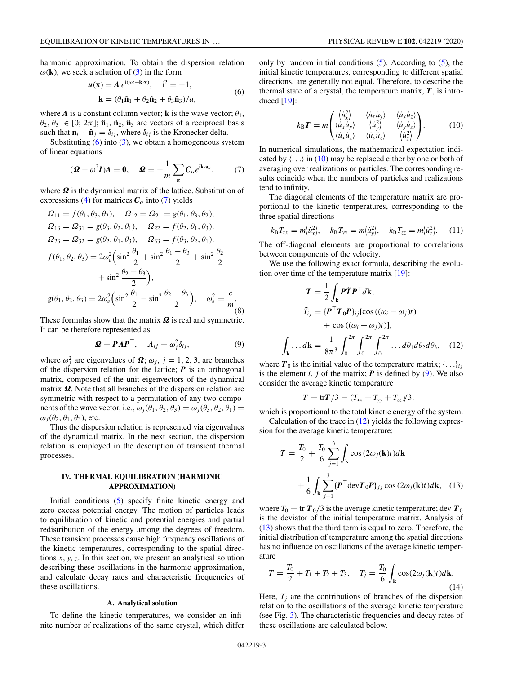<span id="page-2-0"></span>harmonic approximation. To obtain the dispersion relation  $\omega(\mathbf{k})$ , we seek a solution of [\(3\)](#page-1-0) in the form

$$
\mathbf{u}(\mathbf{x}) = A e^{i(\omega t + \mathbf{k} \cdot \mathbf{x})}, \quad i^2 = -1,
$$
  
\n
$$
\mathbf{k} = (\theta_1 \hat{\mathbf{n}}_1 + \theta_2 \hat{\mathbf{n}}_2 + \theta_3 \hat{\mathbf{n}}_3)/a,
$$
 (6)

where *A* is a constant column vector; **k** is the wave vector;  $\theta_1$ ,  $\theta_2$ ,  $\theta_3 \in [0; 2\pi]$ ;  $\hat{\mathbf{n}}_1$ ,  $\hat{\mathbf{n}}_2$ ,  $\hat{\mathbf{n}}_3$  are vectors of a reciprocal basis such that  $\mathbf{n}_i \cdot \hat{\mathbf{n}}_j = \delta_{ij}$ , where  $\delta_{ij}$  is the Kronecker delta.

Substituting  $(6)$  into  $(3)$ , we obtain a homogeneous system of linear equations

$$
(\mathbf{\Omega} - \omega^2 \mathbf{I})A = 0, \quad \mathbf{\Omega} = -\frac{1}{m} \sum_{\alpha} C_{\alpha} e^{i\mathbf{k} \cdot \mathbf{a}_{\alpha}}, \quad (7)
$$

where *Ω* is the dynamical matrix of the lattice. Substitution of expressions [\(4\)](#page-1-0) for matrices  $C_\alpha$  into (7) yields

$$
\Omega_{11} = f(\theta_1, \theta_3, \theta_2), \quad \Omega_{12} = \Omega_{21} = g(\theta_1, \theta_3, \theta_2), \n\Omega_{13} = \Omega_{31} = g(\theta_3, \theta_2, \theta_1), \quad \Omega_{22} = f(\theta_2, \theta_1, \theta_3), \n\Omega_{23} = \Omega_{32} = g(\theta_2, \theta_1, \theta_3), \quad \Omega_{33} = f(\theta_3, \theta_2, \theta_1), \nf(\theta_1, \theta_2, \theta_3) = 2\omega_e^2 \left( \sin^2 \frac{\theta_1}{2} + \sin^2 \frac{\theta_1 - \theta_3}{2} + \sin^2 \frac{\theta_2}{2} + \sin^2 \frac{\theta_2 - \theta_3}{2} \right), \ng(\theta_1, \theta_2, \theta_3) = 2\omega_e^2 \left( \sin^2 \frac{\theta_1}{2} - \sin^2 \frac{\theta_2 - \theta_3}{2} \right), \quad \omega_e^2 = \frac{c}{m}.
$$
\n(8)

These formulas show that the matrix *Ω* is real and symmetric. It can be therefore represented as

$$
\mathbf{\Omega} = \mathbf{P} \Lambda \mathbf{P}^{\top}, \quad \Lambda_{ij} = \omega_j^2 \delta_{ij}, \tag{9}
$$

where  $\omega_j^2$  are eigenvalues of  $\Omega$ ;  $\omega_j$ ,  $j = 1, 2, 3$ , are branches of the dispersion relation for the lattice; *P* is an orthogonal matrix, composed of the unit eigenvectors of the dynamical matrix *Ω*. Note that all branches of the dispersion relation are symmetric with respect to a permutation of any two components of the wave vector, i.e.,  $\omega_i(\theta_1, \theta_2, \theta_3) = \omega_i(\theta_3, \theta_2, \theta_1)$  $\omega_i(\theta_2, \theta_1, \theta_3)$ , etc.

Thus the dispersion relation is represented via eigenvalues of the dynamical matrix. In the next section, the dispersion relation is employed in the description of transient thermal processes.

## **IV. THERMAL EQUILIBRATION (HARMONIC APPROXIMATION)**

Initial conditions [\(5\)](#page-1-0) specify finite kinetic energy and zero excess potential energy. The motion of particles leads to equilibration of kinetic and potential energies and partial redistribution of the energy among the degrees of freedom. These transient processes cause high frequency oscillations of the kinetic temperatures, corresponding to the spatial directions *x*, *y*,*z*. In this section, we present an analytical solution describing these oscillations in the harmonic approximation, and calculate decay rates and characteristic frequencies of these oscillations.

#### **A. Analytical solution**

To define the kinetic temperatures, we consider an infinite number of realizations of the same crystal, which differ

only by random initial conditions  $(5)$ . According to  $(5)$ , the initial kinetic temperatures, corresponding to different spatial directions, are generally not equal. Therefore, to describe the thermal state of a crystal, the temperature matrix, *T*, is introduced [\[19\]](#page-7-0):

$$
k_{\rm B}T = m \begin{pmatrix} \langle \dot{u}_x^2 \rangle & \langle \dot{u}_x \dot{u}_y \rangle & \langle \dot{u}_x \dot{u}_z \rangle \\ \langle \dot{u}_x \dot{u}_y \rangle & \langle \dot{u}_y^2 \rangle & \langle \dot{u}_y \dot{u}_z \rangle \\ \langle \dot{u}_x \dot{u}_z \rangle & \langle \dot{u}_y \dot{u}_z \rangle & \langle \dot{u}_z^2 \rangle \end{pmatrix} . \tag{10}
$$

In numerical simulations, the mathematical expectation indicated by  $\langle \ldots \rangle$  in (10) may be replaced either by one or both of averaging over realizations or particles. The corresponding results coincide when the numbers of particles and realizations tend to infinity.

The diagonal elements of the temperature matrix are proportional to the kinetic temperatures, corresponding to the three spatial directions

$$
k_{\rm B}T_{xx} = m\langle \dot{u}_x^2 \rangle, \quad k_{\rm B}T_{yy} = m\langle \dot{u}_y^2 \rangle, \quad k_{\rm B}T_{zz} = m\langle \dot{u}_z^2 \rangle.
$$
 (11)

The off-diagonal elements are proportional to correlations between components of the velocity.

We use the following exact formula, describing the evolution over time of the temperature matrix [\[19\]](#page-7-0):

$$
T = \frac{1}{2} \int_{\mathbf{k}} P \tilde{T} P^{\top} d\mathbf{k},
$$
  
\n
$$
\tilde{T}_{ij} = \{ P^{\top} T_0 P \}_{ij} [\cos ((\omega_i - \omega_j)t) + \cos ((\omega_i + \omega_j)t)],
$$
  
\n
$$
\int_{\mathbf{k}} \dots d\mathbf{k} = \frac{1}{8\pi^3} \int_0^{2\pi} \int_0^{2\pi} \int_0^{2\pi} \dots d\theta_1 d\theta_2 d\theta_3, \quad (12)
$$

where  $T_0$  is the initial value of the temperature matrix; { $\ldots$ }*i j* is the element  $i, j$  of the matrix;  $P$  is defined by (9). We also consider the average kinetic temperature

$$
T = \text{tr} T/3 = (T_{xx} + T_{yy} + T_{zz})/3,
$$

which is proportional to the total kinetic energy of the system. Calculation of the trace in  $(12)$  yields the following expres-

sion for the average kinetic temperature:

$$
T = \frac{T_0}{2} + \frac{T_0}{6} \sum_{j=1}^{3} \int_{\mathbf{k}} \cos(2\omega_j(\mathbf{k})t) d\mathbf{k}
$$

$$
+ \frac{1}{6} \int_{\mathbf{k}} \sum_{j=1}^{3} \{ \boldsymbol{P}^\top \mathrm{dev} \boldsymbol{T}_0 \boldsymbol{P} \}_{jj} \cos(2\omega_j(\mathbf{k})t) d\mathbf{k}, \quad (13)
$$

where  $T_0 = \text{tr } T_0/3$  is the average kinetic temperature; dev  $T_0$ is the deviator of the initial temperature matrix. Analysis of (13) shows that the third term is equal to zero. Therefore, the initial distribution of temperature among the spatial directions has no influence on oscillations of the average kinetic temperature

$$
T = \frac{T_0}{2} + T_1 + T_2 + T_3, \quad T_j = \frac{T_0}{6} \int_{\mathbf{k}} \cos(2\omega_j(\mathbf{k})t) d\mathbf{k}.
$$
 (14)

Here,  $T_i$  are the contributions of branches of the dispersion relation to the oscillations of the average kinetic temperature (see Fig. [3\)](#page-4-0). The characteristic frequencies and decay rates of these oscillations are calculated below.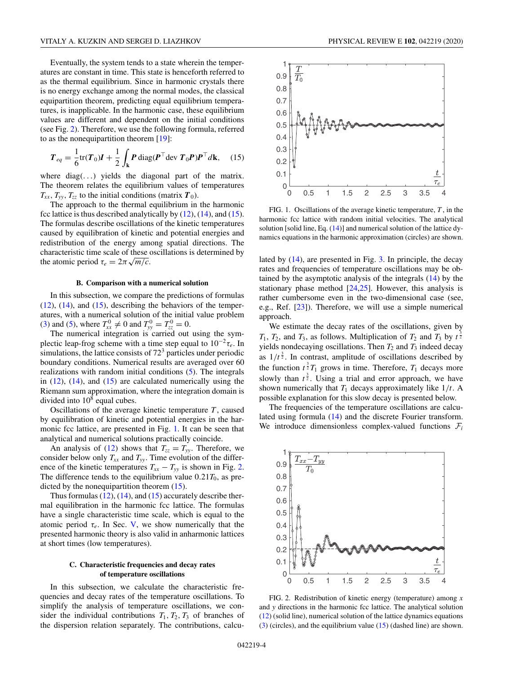<span id="page-3-0"></span>Eventually, the system tends to a state wherein the temperatures are constant in time. This state is henceforth referred to as the thermal equilibrium. Since in harmonic crystals there is no energy exchange among the normal modes, the classical equipartition theorem, predicting equal equilibrium temperatures, is inapplicable. In the harmonic case, these equilibrium values are different and dependent on the initial conditions (see Fig. 2). Therefore, we use the following formula, referred to as the nonequipartition theorem [\[19\]](#page-7-0):

$$
T_{eq} = \frac{1}{6} \text{tr}(T_0) I + \frac{1}{2} \int_{\mathbf{k}} P \text{diag}(P^\top \text{dev } T_0 P) P^\top d\mathbf{k}, \quad (15)
$$

where  $diag(\ldots)$  yields the diagonal part of the matrix. The theorem relates the equilibrium values of temperatures  $T_{xx}$ ,  $T_{yy}$ ,  $T_{zz}$  to the initial conditions (matrix  $T_0$ ).

The approach to the thermal equilibrium in the harmonic fcc lattice is thus described analytically by  $(12)$ ,  $(14)$ , and  $(15)$ . The formulas describe oscillations of the kinetic temperatures caused by equilibration of kinetic and potential energies and redistribution of the energy among spatial directions. The characteristic time scale of these oscillations is determined by  $\alpha$  the atomic period  $\tau_e = 2\pi \sqrt{m/c}$ .

#### **B. Comparison with a numerical solution**

In this subsection, we compare the predictions of formulas  $(12)$ ,  $(14)$ , and  $(15)$ , describing the behaviors of the temperatures, with a numerical solution of the initial value problem [\(3\)](#page-1-0) and [\(5\)](#page-1-0), where  $T_{xx}^0 \neq 0$  and  $T_{yy}^0 = T_{zz}^0 = 0$ .

The numerical integration is carried out using the symplectic leap-frog scheme with a time step equal to  $10^{-2}\tau_e$ . In simulations, the lattice consists of  $72<sup>3</sup>$  particles under periodic boundary conditions. Numerical results are averaged over 60 realizations with random initial conditions [\(5\)](#page-1-0). The integrals in  $(12)$ ,  $(14)$ , and  $(15)$  are calculated numerically using the Riemann sum approximation, where the integration domain is divided into  $10<sup>8</sup>$  equal cubes.

Oscillations of the average kinetic temperature *T* , caused by equilibration of kinetic and potential energies in the harmonic fcc lattice, are presented in Fig. 1. It can be seen that analytical and numerical solutions practically coincide.

An analysis of [\(12\)](#page-2-0) shows that  $T_{zz} = T_{yy}$ . Therefore, we consider below only  $T_{xx}$  and  $T_{yy}$ . Time evolution of the difference of the kinetic temperatures  $T_{xx} - T_{yy}$  is shown in Fig. 2. The difference tends to the equilibrium value  $0.21T_0$ , as predicted by the nonequipartition theorem (15).

Thus formulas  $(12)$ ,  $(14)$ , and  $(15)$  accurately describe thermal equilibration in the harmonic fcc lattice. The formulas have a single characteristic time scale, which is equal to the atomic period  $\tau_e$ . In Sec. [V,](#page-4-0) we show numerically that the presented harmonic theory is also valid in anharmonic lattices at short times (low temperatures).

### **C. Characteristic frequencies and decay rates of temperature oscillations**

In this subsection, we calculate the characteristic frequencies and decay rates of the temperature oscillations. To simplify the analysis of temperature oscillations, we consider the individual contributions  $T_1, T_2, T_3$  of branches of the dispersion relation separately. The contributions, calcu-



FIG. 1. Oscillations of the average kinetic temperature, *T* , in the harmonic fcc lattice with random initial velocities. The analytical solution [solid line, Eq.  $(14)$ ] and numerical solution of the lattice dynamics equations in the harmonic approximation (circles) are shown.

lated by [\(14\)](#page-2-0), are presented in Fig. [3.](#page-4-0) In principle, the decay rates and frequencies of temperature oscillations may be obtained by the asymptotic analysis of the integrals [\(14\)](#page-2-0) by the stationary phase method [\[24,](#page-7-0)[25\]](#page-8-0). However, this analysis is rather cumbersome even in the two-dimensional case (see, e.g., Ref. [\[23\]](#page-7-0)). Therefore, we will use a simple numerical approach.

We estimate the decay rates of the oscillations, given by  $T_1$ ,  $T_2$ , and  $T_3$ , as follows. Multiplication of  $T_2$  and  $T_3$  by  $t^{\frac{3}{2}}$ yields nondecaying oscillations. Then  $T_2$  and  $T_3$  indeed decay as  $1/t^{\frac{3}{2}}$ . In contrast, amplitude of oscillations described by the function  $t^{\frac{3}{2}}T_1$  grows in time. Therefore,  $T_1$  decays more slowly than  $t^{\frac{3}{2}}$ . Using a trial and error approach, we have shown numerically that  $T_1$  decays approximately like  $1/t$ . A possible explanation for this slow decay is presented below.

The frequencies of the temperature oscillations are calculated using formula [\(14\)](#page-2-0) and the discrete Fourier transform. We introduce dimensionless complex-valued functions  $\mathcal{F}_i$ 



FIG. 2. Redistribution of kinetic energy (temperature) among *x* and *y* directions in the harmonic fcc lattice. The analytical solution [\(12\)](#page-2-0) (solid line), numerical solution of the lattice dynamics equations [\(3\)](#page-1-0) (circles), and the equilibrium value (15) (dashed line) are shown.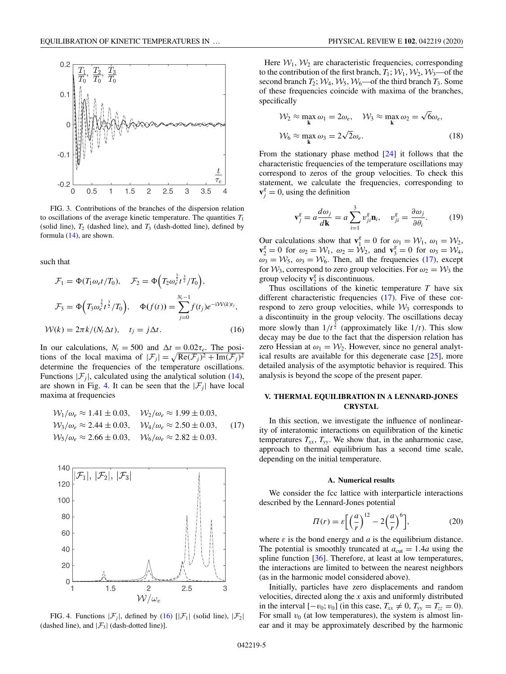<span id="page-4-0"></span>

FIG. 3. Contributions of the branches of the dispersion relation to oscillations of the average kinetic temperature. The quantities  $T_1$ (solid line),  $T_2$  (dashed line), and  $T_3$  (dash-dotted line), defined by formula [\(14\)](#page-2-0), are shown.

such that

$$
\mathcal{F}_1 = \Phi(T_1 \omega_e t / T_0), \quad \mathcal{F}_2 = \Phi\Big(T_2 \omega_e^{\frac{3}{2}} t^{\frac{3}{2}} / T_0\Big),
$$

$$
\mathcal{F}_3 = \Phi\Big(T_3 \omega_e^{\frac{3}{2}} t^{\frac{3}{2}} / T_0\Big), \quad \Phi(f(t)) = \sum_{j=0}^{N_t - 1} f(t_j) e^{-i\mathcal{W}(k)t_j},
$$

$$
\mathcal{W}(k) = 2\pi k / (N_t \Delta t), \quad t_j = j\Delta t. \tag{16}
$$

In our calculations,  $N_t = 500$  and  $\Delta t = 0.02\tau_e$ . The positions of the local maxima of  $|\mathcal{F}_j| = \sqrt{\text{Re}(\mathcal{F}_j)^2 + \text{Im}(\mathcal{F}_j)^2}$ determine the frequencies of the temperature oscillations. Functions  $|\mathcal{F}_i|$ , calculated using the analytical solution [\(14\)](#page-2-0), are shown in Fig. 4. It can be seen that the  $|\mathcal{F}_i|$  have local maxima at frequencies

$$
\mathcal{W}_1/\omega_e \approx 1.41 \pm 0.03, \quad \mathcal{W}_2/\omega_e \approx 1.99 \pm 0.03, \n\mathcal{W}_3/\omega_e \approx 2.44 \pm 0.03, \quad \mathcal{W}_4/\omega_e \approx 2.50 \pm 0.03, \n\mathcal{W}_5/\omega_e \approx 2.66 \pm 0.03, \quad \mathcal{W}_6/\omega_e \approx 2.82 \pm 0.03.
$$
\n(17)



FIG. 4. Functions  $|\mathcal{F}_i|$ , defined by (16)  $[|\mathcal{F}_1|]$  (solid line),  $|\mathcal{F}_2|$ (dashed line), and  $|\mathcal{F}_3|$  (dash-dotted line)].

Here  $W_1$ ,  $W_2$  are characteristic frequencies, corresponding to the contribution of the first branch,  $T_1$ ;  $W_1$ ,  $W_2$ ,  $W_3$ —of the second branch  $T_2$ ;  $W_4$ ,  $W_5$ ,  $W_6$  of the third branch  $T_3$ . Some of these frequencies coincide with maxima of the branches, specifically

$$
\mathcal{W}_2 \approx \max_{\mathbf{k}} \omega_1 = 2\omega_e, \quad \mathcal{W}_3 \approx \max_{\mathbf{k}} \omega_2 = \sqrt{6}\omega_e,
$$
  

$$
\mathcal{W}_6 \approx \max_{\mathbf{k}} \omega_3 = 2\sqrt{2}\omega_e.
$$
 (18)

From the stationary phase method [\[24\]](#page-7-0) it follows that the characteristic frequencies of the temperature oscillations may correspond to zeros of the group velocities. To check this statement, we calculate the frequencies, corresponding to  $\mathbf{v}_j^g = 0$ , using the definition

$$
\mathbf{v}_j^g = a \frac{d\omega_j}{d\mathbf{k}} = a \sum_{i=1}^3 v_{ji}^g \mathbf{n}_i, \quad v_{ji}^g = \frac{\partial \omega_j}{\partial \theta_i}.
$$
 (19)

Our calculations show that  $\mathbf{v}_1^g = 0$  for  $\omega_1 = \mathcal{W}_1$ ,  $\omega_1 = \mathcal{W}_2$ ,  $\mathbf{v}_2^g = 0$  for  $\omega_2 = \mathcal{W}_1$ ,  $\omega_2 = \mathcal{W}_2$ , and  $\mathbf{v}_3^g = 0$  for  $\omega_3 = \mathcal{W}_4$ ,  $\omega_3 = \mathcal{W}_5$ ,  $\omega_3 = \mathcal{W}_6$ . Then, all the frequencies (17), except for  $W_3$ , correspond to zero group velocities. For  $\omega_2 = W_3$  the group velocity  $\mathbf{v}_2^g$  is discontinuous.

Thus oscillations of the kinetic temperature *T* have six different characteristic frequencies (17). Five of these correspond to zero group velocities, while  $\mathcal{W}_3$  corresponds to a discontinuity in the group velocity. The oscillations decay more slowly than  $1/t^{\frac{3}{2}}$  (approximately like  $1/t$ ). This slow decay may be due to the fact that the dispersion relation has zero Hessian at  $\omega_1 = \mathcal{W}_2$ . However, since no general analytical results are available for this degenerate case [\[25\]](#page-8-0), more detailed analysis of the asymptotic behavior is required. This analysis is beyond the scope of the present paper.

## **V. THERMAL EQUILIBRATION IN A LENNARD-JONES CRYSTAL**

In this section, we investigate the influence of nonlinearity of interatomic interactions on equilibration of the kinetic temperatures  $T_{xx}$ ,  $T_{yy}$ . We show that, in the anharmonic case, approach to thermal equilibrium has a second time scale, depending on the initial temperature.

### **A. Numerical results**

We consider the fcc lattice with interparticle interactions described by the Lennard-Jones potential

$$
\Pi(r) = \varepsilon \left[ \left( \frac{a}{r} \right)^{12} - 2 \left( \frac{a}{r} \right)^6 \right],\tag{20}
$$

where  $\varepsilon$  is the bond energy and  $a$  is the equilibrium distance. The potential is smoothly truncated at  $a_{\text{cut}} = 1.4a$  using the spline function [\[36\]](#page-8-0). Therefore, at least at low temperatures, the interactions are limited to between the nearest neighbors (as in the harmonic model considered above).

Initially, particles have zero displacements and random velocities, directed along the *x* axis and uniformly distributed in the interval  $[-v_0; v_0]$  (in this case,  $T_{xx} \neq 0$ ,  $T_{yy} = T_{zz} = 0$ ). For small  $v_0$  (at low temperatures), the system is almost linear and it may be approximately described by the harmonic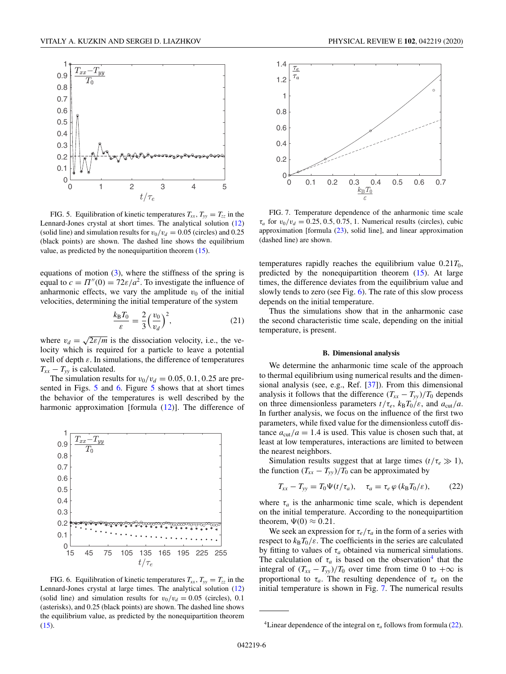<span id="page-5-0"></span>

FIG. 5. Equilibration of kinetic temperatures  $T_{xx}$ ,  $T_{yy} = T_{zz}$  in the Lennard-Jones crystal at short times. The analytical solution [\(12\)](#page-2-0) (solid line) and simulation results for  $v_0/v_d = 0.05$  (circles) and 0.25 (black points) are shown. The dashed line shows the equilibrium value, as predicted by the nonequipartition theorem [\(15\)](#page-3-0).

equations of motion  $(3)$ , where the stiffness of the spring is equal to  $c = \Pi''(0) = 72\varepsilon/a^2$ . To investigate the influence of anharmonic effects, we vary the amplitude  $v_0$  of the initial velocities, determining the initial temperature of the system

$$
\frac{k_{\rm B}T_0}{\varepsilon} = \frac{2}{3} \left( \frac{v_0}{v_d} \right)^2,\tag{21}
$$

where  $v_d = \sqrt{2\varepsilon/m}$  is the dissociation velocity, i.e., the velocity which is required for a particle to leave a potential well of depth  $\varepsilon$ . In simulations, the difference of temperatures  $T_{xx} - T_{yy}$  is calculated.

The simulation results for  $v_0/v_d = 0.05, 0.1, 0.25$  are presented in Figs. 5 and 6. Figure 5 shows that at short times the behavior of the temperatures is well described by the harmonic approximation [formula  $(12)$ ]. The difference of



FIG. 6. Equilibration of kinetic temperatures  $T_{xx}$ ,  $T_{yy} = T_{zz}$  in the Lennard-Jones crystal at large times. The analytical solution [\(12\)](#page-2-0) (solid line) and simulation results for  $v_0/v_d = 0.05$  (circles), 0.1 (asterisks), and 0.25 (black points) are shown. The dashed line shows the equilibrium value, as predicted by the nonequipartition theorem [\(15\)](#page-3-0).





FIG. 7. Temperature dependence of the anharmonic time scale  $\tau_a$  for  $v_0/v_d = 0.25, 0.5, 0.75, 1$ . Numerical results (circles), cubic approximation [formula [\(23\)](#page-6-0), solid line], and linear approximation (dashed line) are shown.

temperatures rapidly reaches the equilibrium value  $0.21T_0$ , predicted by the nonequipartition theorem [\(15\)](#page-3-0). At large times, the difference deviates from the equilibrium value and slowly tends to zero (see Fig. 6). The rate of this slow process depends on the initial temperature.

Thus the simulations show that in the anharmonic case the second characteristic time scale, depending on the initial temperature, is present.

## **B. Dimensional analysis**

We determine the anharmonic time scale of the approach to thermal equilibrium using numerical results and the dimensional analysis (see, e.g., Ref. [\[37\]](#page-8-0)). From this dimensional analysis it follows that the difference  $(T_{xx} - T_{yy})/T_0$  depends on three dimensionless parameters  $t/\tau_e$ ,  $k_B T_0/\varepsilon$ , and  $a_{\text{cut}}/a$ . In further analysis, we focus on the influence of the first two parameters, while fixed value for the dimensionless cutoff distance  $a_{\text{cut}}/a = 1.4$  is used. This value is chosen such that, at least at low temperatures, interactions are limited to between the nearest neighbors.

Simulation results suggest that at large times  $(t/\tau_e \gg 1)$ , the function  $(T_{xx} - T_{yy})/T_0$  can be approximated by

$$
T_{xx} - T_{yy} = T_0 \Psi(t/\tau_a), \quad \tau_a = \tau_e \varphi (k_B T_0/\varepsilon), \tag{22}
$$

where  $\tau_a$  is the anharmonic time scale, which is dependent on the initial temperature. According to the nonequipartition theorem,  $\Psi(0) \approx 0.21$ .

We seek an expression for  $\tau_e/\tau_a$  in the form of a series with respect to  $k_B T_0 / \varepsilon$ . The coefficients in the series are calculated by fitting to values of  $\tau_a$  obtained via numerical simulations. The calculation of  $\tau_a$  is based on the observation<sup>4</sup> that the integral of  $(T_{xx} - T_{yy})/T_0$  over time from time 0 to  $+\infty$  is proportional to  $\tau_a$ . The resulting dependence of  $\tau_a$  on the initial temperature is shown in Fig. 7. The numerical results

<sup>&</sup>lt;sup>4</sup>Linear dependence of the integral on  $\tau_a$  follows from formula (22).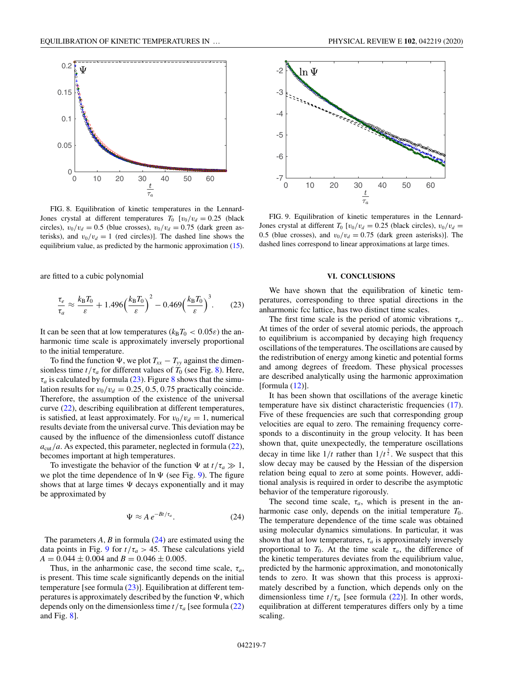<span id="page-6-0"></span>

FIG. 8. Equilibration of kinetic temperatures in the Lennard-Jones crystal at different temperatures  $T_0$  [ $v_0/v_d = 0.25$  (black circles),  $v_0/v_d = 0.5$  (blue crosses),  $v_0/v_d = 0.75$  (dark green asterisks), and  $v_0/v_d = 1$  (red circles)]. The dashed line shows the equilibrium value, as predicted by the harmonic approximation [\(15\)](#page-3-0).

are fitted to a cubic polynomial

$$
\frac{\tau_e}{\tau_a} \approx \frac{k_\text{B} T_0}{\varepsilon} + 1.496 \left(\frac{k_\text{B} T_0}{\varepsilon}\right)^2 - 0.469 \left(\frac{k_\text{B} T_0}{\varepsilon}\right)^3. \tag{23}
$$

It can be seen that at low temperatures ( $k_B T_0 < 0.05\varepsilon$ ) the anharmonic time scale is approximately inversely proportional to the initial temperature.

To find the function  $\Psi$ , we plot  $T_{xx} - T_{yy}$  against the dimensionless time  $t/\tau_a$  for different values of  $T_0$  (see Fig. 8). Here,  $\tau_a$  is calculated by formula (23). Figure 8 shows that the simulation results for  $v_0/v_d = 0.25, 0.5, 0.75$  practically coincide. Therefore, the assumption of the existence of the universal curve [\(22\)](#page-5-0), describing equilibration at different temperatures, is satisfied, at least approximately. For  $v_0/v_d = 1$ , numerical results deviate from the universal curve. This deviation may be caused by the influence of the dimensionless cutoff distance  $a_{\text{cut}}/a$ . As expected, this parameter, neglected in formula [\(22\)](#page-5-0), becomes important at high temperatures.

To investigate the behavior of the function  $\Psi$  at  $t/\tau_a \gg 1$ , we plot the time dependence of  $\ln \Psi$  (see Fig. 9). The figure shows that at large times  $\Psi$  decays exponentially and it may be approximated by

$$
\Psi \approx A \, e^{-Bt/\tau_a}.\tag{24}
$$

The parameters *A*, *B* in formula (24) are estimated using the data points in Fig. 9 for  $t/\tau_a > 45$ . These calculations yield  $A = 0.044 \pm 0.004$  and  $B = 0.046 \pm 0.005$ .

Thus, in the anharmonic case, the second time scale,  $\tau_a$ , is present. This time scale significantly depends on the initial temperature [see formula  $(23)$ ]. Equilibration at different temperatures is approximately described by the function  $\Psi$ , which depends only on the dimensionless time *t*/τ*<sup>a</sup>* [see formula [\(22\)](#page-5-0) and Fig. 8].



FIG. 9. Equilibration of kinetic temperatures in the Lennard-Jones crystal at different  $T_0$  [ $v_0/v_d = 0.25$  (black circles),  $v_0/v_d =$ 0.5 (blue crosses), and  $v_0/v_d = 0.75$  (dark green asterisks)]. The dashed lines correspond to linear approximations at large times.

### **VI. CONCLUSIONS**

We have shown that the equilibration of kinetic temperatures, corresponding to three spatial directions in the anharmonic fcc lattice, has two distinct time scales.

The first time scale is the period of atomic vibrations  $\tau_e$ . At times of the order of several atomic periods, the approach to equilibrium is accompanied by decaying high frequency oscillations of the temperatures. The oscillations are caused by the redistribution of energy among kinetic and potential forms and among degrees of freedom. These physical processes are described analytically using the harmonic approximation [formula  $(12)$ ].

It has been shown that oscillations of the average kinetic temperature have six distinct characteristic frequencies [\(17\)](#page-4-0). Five of these frequencies are such that corresponding group velocities are equal to zero. The remaining frequency corresponds to a discontinuity in the group velocity. It has been shown that, quite unexpectedly, the temperature oscillations decay in time like  $1/t$  rather than  $1/t^{\frac{3}{2}}$ . We suspect that this slow decay may be caused by the Hessian of the dispersion relation being equal to zero at some points. However, additional analysis is required in order to describe the asymptotic behavior of the temperature rigorously.

The second time scale,  $\tau_a$ , which is present in the anharmonic case only, depends on the initial temperature  $T_0$ . The temperature dependence of the time scale was obtained using molecular dynamics simulations. In particular, it was shown that at low temperatures,  $\tau_a$  is approximately inversely proportional to  $T_0$ . At the time scale  $\tau_a$ , the difference of the kinetic temperatures deviates from the equilibrium value, predicted by the harmonic approximation, and monotonically tends to zero. It was shown that this process is approximately described by a function, which depends only on the dimensionless time  $t/\tau_a$  [see formula [\(22\)](#page-5-0)]. In other words, equilibration at different temperatures differs only by a time scaling.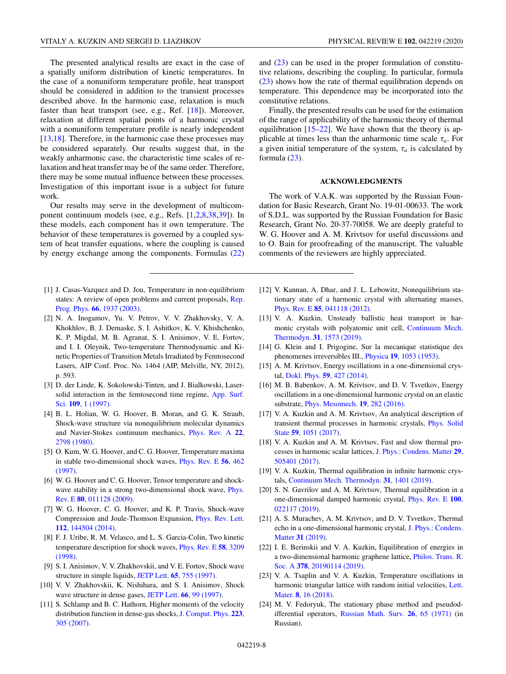<span id="page-7-0"></span>The presented analytical results are exact in the case of a spatially uniform distribution of kinetic temperatures. In the case of a nonuniform temperature profile, heat transport should be considered in addition to the transient processes described above. In the harmonic case, relaxation is much faster than heat transport (see, e.g., Ref. [18]). Moreover, relaxation at different spatial points of a harmonic crystal with a nonuniform temperature profile is nearly independent [13,18]. Therefore, in the harmonic case these processes may be considered separately. Our results suggest that, in the weakly anharmonic case, the characteristic time scales of relaxation and heat transfer may be of the same order. Therefore, there may be some mutual influence between these processes. Investigation of this important issue is a subject for future work.

Our results may serve in the development of multicomponent continuum models (see, e.g., Refs. [1,2,8[,38,39\]](#page-8-0)). In these models, each component has it own temperature. The behavior of these temperatures is governed by a coupled system of heat transfer equations, where the coupling is caused by energy exchange among the components. Formulas [\(22\)](#page-5-0)

- [1] J. Casas-Vazquez and D. Jou, Temperature in non-equilibrium [states: A review of open problems and current proposals,](https://doi.org/10.1088/0034-4885/66/11/R03) Rep. Prog. Phys. **66**, 1937 (2003).
- [2] N. A. Inogamov, Yu. V. Petrov, V. V. Zhakhovsky, V. A. Khokhlov, B. J. Demaske, S. I. Ashitkov, K. V. Khishchenko, K. P. Migdal, M. B. Agranat, S. I. Anisimov, V. E. Fortov, and I. I. Oleynik, Two-temperature Thermodynamic and Kinetic Properties of Transition Metals Irradiated by Femtosecond Lasers, AIP Conf. Proc. No. 1464 (AIP, Melville, NY, 2012), p. 593.
- [3] D. der Linde, K. Sokolowski-Tinten, and J. Bialkowski, Laser[solid interaction in the femtosecond time regime,](https://doi.org/10.1016/S0169-4332(96)00611-3) App. Surf. Sci. **109**, 1 (1997).
- [4] B. L. Holian, W. G. Hoover, B. Moran, and G. K. Straub, Shock-wave structure via nonequilibrium molecular dynamics [and Navier-Stokes continuum mechanics,](https://doi.org/10.1103/PhysRevA.22.2798) Phys. Rev. A **22**, 2798 (1980).
- [5] O. Kum, W. G. Hoover, and C. G. Hoover, Temperature maxima [in stable two-dimensional shock waves,](https://doi.org/10.1103/PhysRevE.56.462) Phys. Rev. E **56**, 462 (1997).
- [6] W. G. Hoover and C. G. Hoover, Tensor temperature and shock[wave stability in a strong two-dimensional shock wave,](https://doi.org/10.1103/PhysRevE.80.011128) Phys. Rev. E **80**, 011128 (2009).
- [7] W. G. Hoover, C. G. Hoover, and K. P. Travis, Shock-wave [Compression and Joule-Thomson Expansion,](https://doi.org/10.1103/PhysRevLett.112.144504) Phys. Rev. Lett. **112**, 144504 (2014).
- [8] F. J. Uribe, R. M. Velasco, and L. S. Garcia-Colin, Two kinetic [temperature description for shock waves,](https://doi.org/10.1103/PhysRevE.58.3209) Phys. Rev. E **58**, 3209 (1998).
- [9] S. I. Anisimov, V. V. Zhakhovskii, and V. E. Fortov, Shock wave structure in simple liquids, JETP Lett. **65**[, 755 \(1997\).](https://doi.org/10.1134/1.567422)
- [10] V. V. Zhakhovskii, K. Nishihara, and S. I. Anisimov, Shock wave structure in dense gases, JETP Lett. **66**[, 99 \(1997\).](https://doi.org/10.1134/1.567510)
- [11] S. Schlamp and B. C. Hathorn, Higher moments of the velocity [distribution function in dense-gas shocks,](https://doi.org/10.1016/j.jcp.2006.09.020) J. Comput. Phys. **223**, 305 (2007).

and  $(23)$  can be used in the proper formulation of constitutive relations, describing the coupling. In particular, formula [\(23\)](#page-6-0) shows how the rate of thermal equilibration depends on temperature. This dependence may be incorporated into the constitutive relations.

Finally, the presented results can be used for the estimation of the range of applicability of the harmonic theory of thermal equilibration [15–22]. We have shown that the theory is applicable at times less than the anharmonic time scale  $\tau_a$ . For a given initial temperature of the system,  $\tau_a$  is calculated by formula [\(23\)](#page-6-0).

#### **ACKNOWLEDGMENTS**

The work of V.A.K. was supported by the Russian Foundation for Basic Research, Grant No. 19-01-00633. The work of S.D.L. was supported by the Russian Foundation for Basic Research, Grant No. 20-37-70058. We are deeply grateful to W. G. Hoover and A. M. Krivtsov for useful discussions and to O. Bain for proofreading of the manuscript. The valuable comments of the reviewers are highly appreciated.

- [12] V. Kannan, A. Dhar, and J. L. Lebowitz, Nonequilibrium stationary state of a harmonic crystal with alternating masses, Phys. Rev. E **85**[, 041118 \(2012\).](https://doi.org/10.1103/PhysRevE.85.041118)
- [13] V. A. Kuzkin, Unsteady ballistic heat transport in har[monic crystals with polyatomic unit cell,](https://doi.org/10.1007/s00161-019-00802-1) Continuum Mech. Thermodyn. **31**, 1573 (2019).
- [14] G. Klein and I. Prigogine, Sur la mecanique statistique des phenomenes irreversibles III., Physica **19**[, 1053 \(1953\).](https://doi.org/10.1016/S0031-8914(53)80120-5)
- [15] A. M. Krivtsov, Energy oscillations in a one-dimensional crystal, Dokl. Phys. **59**[, 427 \(2014\).](https://doi.org/10.1134/S1028335814090080)
- [16] M. B. Babenkov, A. M. Krivtsov, and D. V. Tsvetkov, Energy oscillations in a one-dimensional harmonic crystal on an elastic substrate, [Phys. Mesomech.](https://doi.org/10.1134/S1029959916030061) **19**, 282 (2016).
- [17] V. A. Kuzkin and A. M. Krivtsov, An analytical description of [transient thermal processes in harmonic crystals,](https://doi.org/10.1134/S1063783417050201) Phys. Solid State **59**, 1051 (2017).
- [18] V. A. Kuzkin and A. M. Krivtsov, Fast and slow thermal pro[cesses in harmonic scalar lattices,](https://doi.org/10.1088/1361-648X/aa98eb) J. Phys.: Condens. Matter **29**, 505401 (2017).
- [19] V. A. Kuzkin, Thermal equilibration in infinite harmonic crystals, [Continuum Mech. Thermodyn.](https://doi.org/10.1007/s00161-019-00758-2) **31**, 1401 (2019).
- [20] S. N. Gavrilov and A. M. Krivtsov, Thermal equilibration in a [one-dimensional damped harmonic crystal,](https://doi.org/10.1103/PhysRevE.100.022117) Phys. Rev. E **100**, 022117 (2019).
- [21] A. S. Murachev, A. M. Krivtsov, and D. V. Tsvetkov, Thermal [echo in a one-dimensional harmonic crystal,](https://doi.org/10.1088/1361-648X/aaf3c6) J. Phys.: Condens. Matter **31** (2019).
- [22] I. E. Berinskii and V. A. Kuzkin, Equilibration of energies in [a two-dimensional harmonic graphene lattice,](https://doi.org/10.1098/rsta.2019.0114) Philos. Trans. R. Soc. A **378**, 20190114 (2019).
- [23] V. A. Tsaplin and V. A. Kuzkin, Temperature oscillations in [harmonic triangular lattice with random initial velocities,](https://doi.org/10.22226/2410-3535-2018-1-16-20) Lett. Mater. **8**, 16 (2018).
- [24] M. V. Fedoryuk, The stationary phase method and pseudodifferential operators, [Russian Math. Surv.](https://doi.org/10.1070/RM1971v026n01ABEH003813) **26**, 65 (1971) (in Russian).